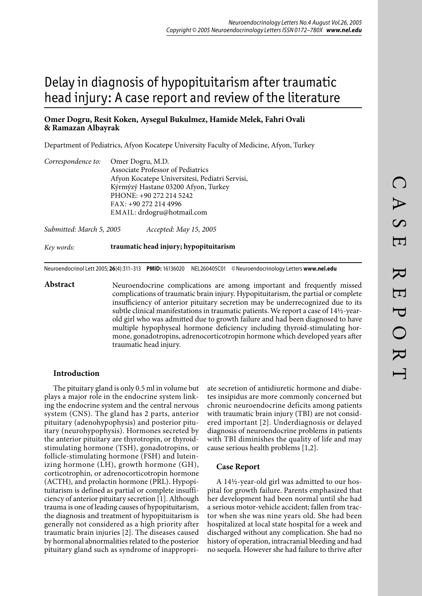# Delay in diagnosis of hypopituitarism after traumatic head injury: A case report and review of the literature

### **Omer Dogru, Resit Koken, Aysegul Bukulmez, Hamide Melek, Fahri Ovali & Ramazan Albayrak**

Department of Pediatrics, Afyon Kocatepe University Faculty of Medicine, Afyon, Turkey

| Correspondence to: | Omer Dogru, M.D.                               |
|--------------------|------------------------------------------------|
|                    | Associate Professor of Pediatrics              |
|                    | Afyon Kocatepe Universitesi, Pediatri Servisi, |
|                    | Kýrmýzý Hastane 03200 Afyon, Turkey            |
|                    | PHONE: +90 272 214 5242                        |
|                    | FAX: +90 272 214 4996                          |
|                    | EMAIL: drdogru@hotmail.com                     |
|                    |                                                |

*Submitted: March 5, 2005 Accepted: May 15, 2005*

*Key words:* **traumatic head injury; hypopituitarism**

Neuroendocrinol Lett 2005; **26**(4):311–313 **PMID:** 16136020 NEL260405C01 © Neuroendocrinology Letters **www.nel.edu**

Abstract Neuroendocrine complications are among important and frequently missed complications of traumatic brain injury. Hypopituitarism, the partial or complete insufficiency of anterior pituitary secretion may be underrecognized due to its subtle clinical manifestations in traumatic patients. We report a case of 14½-yearold girl who was admitted due to growth failure and had been diagnosed to have multiple hypophyseal hormone deficiency including thyroid-stimulating hormone, gonadotropins, adrenocorticotropin hormone which developed years after traumatic head injury.

#### **Introduction**

The pituitary gland is only 0.5 ml in volume but plays a major role in the endocrine system linking the endocrine system and the central nervous system (CNS). The gland has 2 parts, anterior pituitary (adenohypophysis) and posterior pituitary (neurohypophysis). Hormones secreted by the anterior pituitary are thyrotropin, or thyroidstimulating hormone (TSH), gonadotropins, or follicle-stimulating hormone (FSH) and luteinizing hormone (LH), growth hormone (GH), corticotrophin, or adrenocorticotropin hormone (ACTH), and prolactin hormone (PRL). Hypopituitarism is defined as partial or complete insufficiency of anterior pituitary secretion [1]. Although trauma is one of leading causes of hypopituitarism, the diagnosis and treatment of hypopituitarism is generally not considered as a high priority after traumatic brain injuries [2]. The diseases caused by hormonal abnormalities related to the posterior pituitary gland such as syndrome of inappropriate secretion of antidiuretic hormone and diabetes insipidus are more commonly concerned but chronic neuroendocrine deficits among patients with traumatic brain injury (TBI) are not considered important [2]. Underdiagnosis or delayed diagnosis of neuroendocrine problems in patients with TBI diminishes the quality of life and may cause serious health problems [1,2].

#### **Case Report**

A 14½-year-old girl was admitted to our hospital for growth failure. Parents emphasized that her development had been normal until she had a serious motor-vehicle accident; fallen from tractor when she was nine years old. She had been hospitalized at local state hospital for a week and discharged without any complication. She had no history of operation, intracranial bleeding and had no sequela. However she had failure to thrive after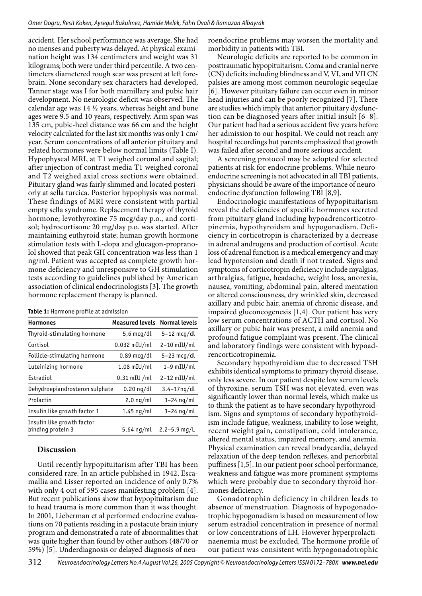accident. Her school performance was average. She had no menses and puberty was delayed. At physical examination height was 134 centimeters and weight was 31 kilograms; both were under third percentile. A two centimeters diametered rough scar was present at left forebrain. None secondary sex characters had developed, Tanner stage was I for both mamillary and pubic hair development. No neurologic deficit was observed. The calendar age was 14  $\frac{1}{2}$  years, whereas height and bone ages were 9.5 and 10 years, respectively. Arm span was 135 cm, pubic-heel distance was 66 cm and the height velocity calculated for the last six months was only 1 cm/ year. Serum concentrations of all anterior pituitary and related hormones were below normal limits (Table I). Hypophyseal MRI, at T1 weighed coronal and sagital; after injection of contrast media T1 weighed coronal and T2 weighed axial cross sections were obtained. Pituitary gland was fairly slimmed and located posteriorly at sella turcica. Posterior hypophysis was normal. These findings of MRI were consistent with partial empty sella syndrome. Replacement therapy of thyroid hormone; levothyroxine 75 mcg/day p.o., and cortisol; hydrocortisone 20 mg/day p.o. was started. After maintaining euthyroid state; human growth hormone stimulation tests with L-dopa and glucagon-propranolol showed that peak GH concentration was less than 1 ng/ml. Patient was accepted as complete growth hormone deficiency and unresponsive to GH stimulation tests according to guidelines published by American association of clinical endocrinologists [3]. The growth hormone replacement therapy is planned.

| <b>Hormones</b>                                 | <b>Measured levels</b> | <b>Normal levels</b> |
|-------------------------------------------------|------------------------|----------------------|
| Thyroid-stimulating hormone                     | $5,6 \text{ mcq/dl}$   | $5-12$ mcg/dl        |
| Cortisol                                        | $0.032$ mIU/ml         | $2-10$ mIU/ml        |
| Follicle-stimulating hormone                    | 0.89 mcq/dl            | $5-23$ mcg/dl        |
| Luteinizing hormone                             | $1.08$ mIU/ml          | $1-9$ mIU/ml         |
| Estradiol                                       | $0.31$ mIU /ml         | $2-12$ mIU/ml        |
| Dehydroepiandrosteron sulphate                  | $0.20$ ng/dl           | $3.4 - 17$ ng/dl     |
| Prolactin                                       | $2.0 \nmid m$          | $3-24$ ng/ml         |
| Insulin like growth factor 1                    | $1.45$ ng/ml           | $3-24$ ng/ml         |
| Insulin like growth factor<br>binding protein 3 | $5.64 \nmid m$         | $2.2 - 5.9$ mg/L     |

## **Discussion**

Until recently hypopituitarism after TBI has been considered rare. In an article published in 1942, Escamallia and Lisser reported an incidence of only 0.7% with only 4 out of 595 cases manifesting problem [4]. But recent publications show that hypopituitarism due to head trauma is more common than it was thought. In 2001, Lieberman et al performed endocrine evaluations on 70 patients residing in a postacute brain injury program and demonstrated a rate of abnormalities that was quite higher than found by other authors (48/70 or 59%) [5]. Underdiagnosis or delayed diagnosis of neuroendocrine problems may worsen the mortality and morbidity in patients with TBI.

Neurologic deficits are reported to be common in posttraumatic hypopituitarism. Coma and cranial nerve (CN) deficits including blindness and V, VI, and VII CN palsies are among most common neurologic seqeulae [6]. However pituitary failure can occur even in minor head injuries and can be poorly recognized [7]. There are studies which imply that anterior pituitary dysfunction can be diagnosed years after initial insult [6–8]. Our patient had had a serious accident five years before her admission to our hospital. We could not reach any hospital recordings but parents emphasized that growth was failed after second and more serious accident.

A screening protocol may be adopted for selected patients at risk for endocrine problems. While neuroendocrine screening is not advocated in all TBI patients, physicians should be aware of the importance of neuroendocrine dysfunction following TBI [8,9].

Endocrinologic manifestations of hypopituitarism reveal the deficiencies of specific hormones secreted from pituitary gland including hypoadrencorticotropinemia, hypothyroidsm and hypogonadism. Deficiency in corticotropin is characterized by a decrease in adrenal androgens and production of cortisol. Acute loss of adrenal function is a medical emergency and may lead hypotension and death if not treated. Signs and symptoms of corticotropin deficiency include myalgias, arthralgias, fatigue, headache, weight loss, anorexia, nausea, vomiting, abdominal pain, altered mentation or altered consciousness, dry wrinkled skin, decreased axillary and pubic hair, anemia of chronic disease, and impaired gluconeogenesis [1,4]. Our patient has very low serum concentrations of ACTH and cortisol. No axillary or pubic hair was present, a mild anemia and profound fatigue complaint was present. The clinical and laboratory findings were consistent with hypoadrencorticotropinemia.

Secondary hypothyroidism due to decreased TSH exhibits identical symptoms to primary thyroid disease, only less severe. In our patient despite low serum levels of thyroxine, serum TSH was not elevated, even was significantly lower than normal levels, which make us to think the patient as to have secondary hypothyroidism. Signs and symptoms of secondary hypothyroidism include fatigue, weakness, inability to lose weight, recent weight gain, constipation, cold intolerance, altered mental status, impaired memory, and anemia. Physical examination can reveal bradycardia, delayed relaxation of the deep tendon reflexes, and periorbital puffiness [1,5]. In our patient poor school performance, weakness and fatigue was more prominent symptoms which were probably due to secondary thyroid hormones deficiency.

Gonadotrophin deficiency in children leads to absence of menstruation. Diagnosis of hypogonadotrophic hypogonadism is based on measurement of low serum estradiol concentration in presence of normal or low concentrations of LH. However hyperprolactinaenemia must be excluded. The hormone profile of our patient was consistent with hypogonadotrophic